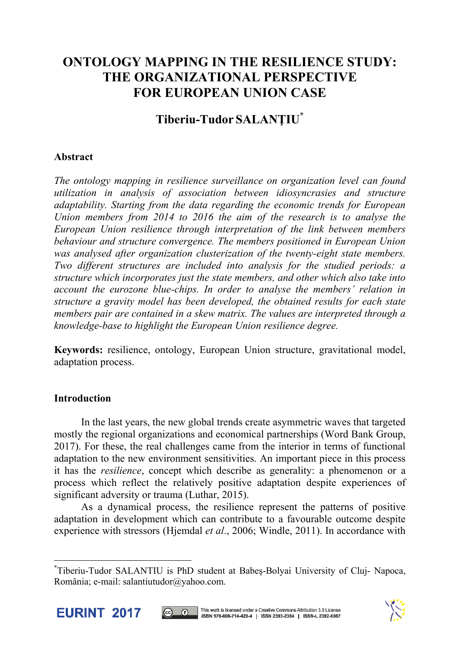# **ONTOLOGY MAPPING IN THE RESILIENCE STUDY: THE ORGANIZATIONAL PERSPECTIVE FOR EUROPEAN UNION CASE**

# **Tiberiu-Tudor SALANŢIU\***

# **Abstract**

*The ontology mapping in resilience surveillance on organization level can found utilization in analysis of association between idiosyncrasies and structure adaptability. Starting from the data regarding the economic trends for European Union members from 2014 to 2016 the aim of the research is to analyse the European Union resilience through interpretation of the link between members behaviour and structure convergence. The members positioned in European Union was analysed after organization clusterization of the twenty-eight state members. Two different structures are included into analysis for the studied periods: a structure which incorporates just the state members, and other which also take into account the eurozone blue-chips. In order to analyse the members' relation in structure a gravity model has been developed, the obtained results for each state members pair are contained in a skew matrix. The values are interpreted through a knowledge-base to highlight the European Union resilience degree.*

**Keywords:** resilience, ontology, European Union structure, gravitational model, adaptation process.

# **Introduction**

In the last years, the new global trends create asymmetric waves that targeted mostly the regional organizations and economical partnerships (Word Bank Group, 2017). For these, the real challenges came from the interior in terms of functional adaptation to the new environment sensitivities. An important piece in this process it has the *resilience*, concept which describe as generality: a phenomenon or a process which reflect the relatively positive adaptation despite experiences of significant adversity or trauma (Luthar, 2015).

 As a dynamical process, the resilience represent the patterns of positive adaptation in development which can contribute to a favourable outcome despite experience with stressors (Hjemdal *et al*., 2006; Windle, 2011). In accordance with

<sup>\*</sup> Tiberiu-Tudor SALANTIU is PhD student at Babeş-Bolyai University of Cluj- Napoca, România; e-mail: salantiutudor@yahoo.com.



l



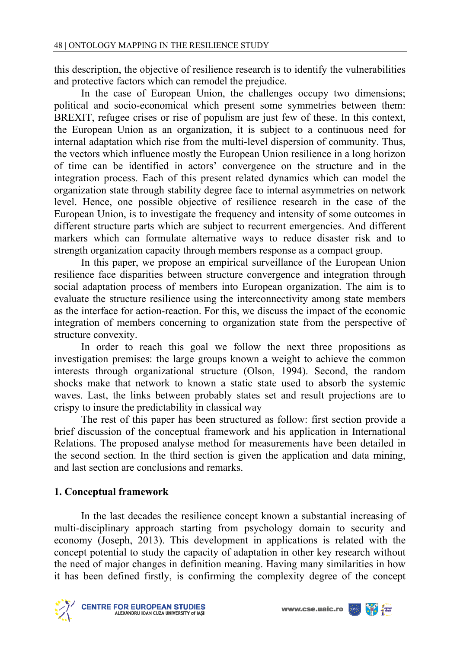this description, the objective of resilience research is to identify the vulnerabilities and protective factors which can remodel the prejudice.

 In the case of European Union, the challenges occupy two dimensions; political and socio-economical which present some symmetries between them: BREXIT, refugee crises or rise of populism are just few of these. In this context, the European Union as an organization, it is subject to a continuous need for internal adaptation which rise from the multi-level dispersion of community. Thus, the vectors which influence mostly the European Union resilience in a long horizon of time can be identified in actors' convergence on the structure and in the integration process. Each of this present related dynamics which can model the organization state through stability degree face to internal asymmetries on network level. Hence, one possible objective of resilience research in the case of the European Union, is to investigate the frequency and intensity of some outcomes in different structure parts which are subject to recurrent emergencies. And different markers which can formulate alternative ways to reduce disaster risk and to strength organization capacity through members response as a compact group.

 In this paper, we propose an empirical surveillance of the European Union resilience face disparities between structure convergence and integration through social adaptation process of members into European organization. The aim is to evaluate the structure resilience using the interconnectivity among state members as the interface for action-reaction. For this, we discuss the impact of the economic integration of members concerning to organization state from the perspective of structure convexity.

 In order to reach this goal we follow the next three propositions as investigation premises: the large groups known a weight to achieve the common interests through organizational structure (Olson, 1994). Second, the random shocks make that network to known a static state used to absorb the systemic waves. Last, the links between probably states set and result projections are to crispy to insure the predictability in classical way

 The rest of this paper has been structured as follow: first section provide a brief discussion of the conceptual framework and his application in International Relations. The proposed analyse method for measurements have been detailed in the second section. In the third section is given the application and data mining, and last section are conclusions and remarks.

# **1. Conceptual framework**

 In the last decades the resilience concept known a substantial increasing of multi-disciplinary approach starting from psychology domain to security and economy (Joseph, 2013). This development in applications is related with the concept potential to study the capacity of adaptation in other key research without the need of major changes in definition meaning. Having many similarities in how it has been defined firstly, is confirming the complexity degree of the concept



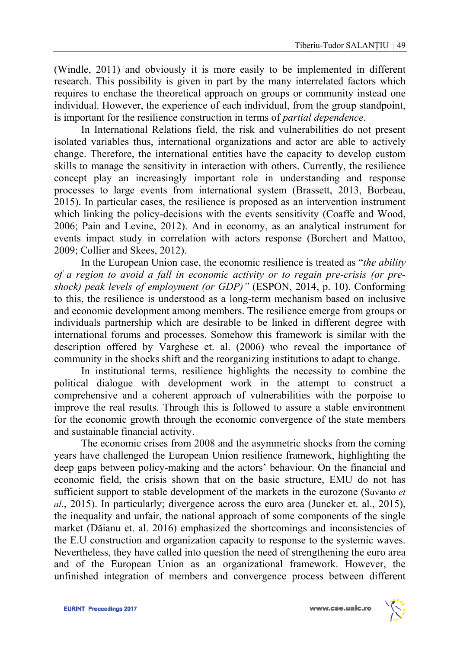(Windle, 2011) and obviously it is more easily to be implemented in different research. This possibility is given in part by the many interrelated factors which requires to enchase the theoretical approach on groups or community instead one individual. However, the experience of each individual, from the group standpoint, is important for the resilience construction in terms of *partial dependence*.

 In International Relations field, the risk and vulnerabilities do not present isolated variables thus, international organizations and actor are able to actively change. Therefore, the international entities have the capacity to develop custom skills to manage the sensitivity in interaction with others. Currently, the resilience concept play an increasingly important role in understanding and response processes to large events from international system (Brassett, 2013, Borbeau, 2015). In particular cases, the resilience is proposed as an intervention instrument which linking the policy-decisions with the events sensitivity (Coaffe and Wood, 2006; Pain and Levine, 2012). And in economy, as an analytical instrument for events impact study in correlation with actors response (Borchert and Mattoo, 2009; Collier and Skees, 2012).

In the European Union case, the economic resilience is treated as "*the ability of a region to avoid a fall in economic activity or to regain pre-crisis (or preshock) peak levels of employment (or GDP)"* (ESPON, 2014, p. 10). Conforming to this, the resilience is understood as a long-term mechanism based on inclusive and economic development among members. The resilience emerge from groups or individuals partnership which are desirable to be linked in different degree with international forums and processes. Somehow this framework is similar with the description offered by Varghese et. al. (2006) who reveal the importance of community in the shocks shift and the reorganizing institutions to adapt to change.

In institutional terms, resilience highlights the necessity to combine the political dialogue with development work in the attempt to construct a comprehensive and a coherent approach of vulnerabilities with the porpoise to improve the real results. Through this is followed to assure a stable environment for the economic growth through the economic convergence of the state members and sustainable financial activity.

The economic crises from 2008 and the asymmetric shocks from the coming years have challenged the European Union resilience framework, highlighting the deep gaps between policy-making and the actors' behaviour. On the financial and economic field, the crisis shown that on the basic structure, EMU do not has sufficient support to stable development of the markets in the eurozone (Suvanto *et al*., 2015). In particularly; divergence across the euro area (Juncker et. al., 2015), the inequality and unfair, the national approach of some components of the single market (Dăianu et. al. 2016) emphasized the shortcomings and inconsistencies of the E.U construction and organization capacity to response to the systemic waves. Nevertheless, they have called into question the need of strengthening the euro area and of the European Union as an organizational framework. However, the unfinished integration of members and convergence process between different

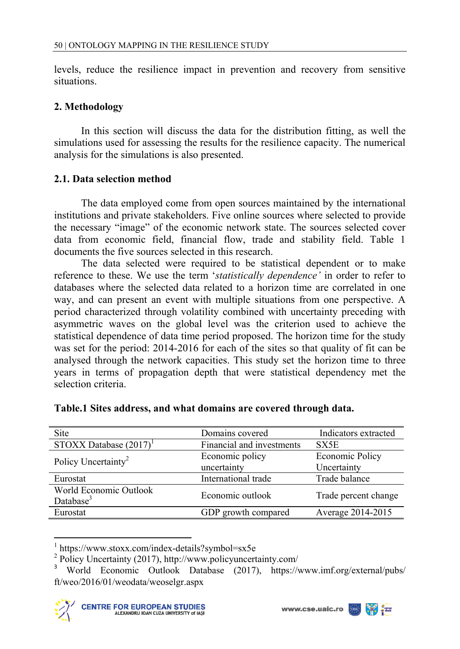levels, reduce the resilience impact in prevention and recovery from sensitive situations.

# **2. Methodology**

In this section will discuss the data for the distribution fitting, as well the simulations used for assessing the results for the resilience capacity. The numerical analysis for the simulations is also presented.

### **2.1. Data selection method**

 The data employed come from open sources maintained by the international institutions and private stakeholders. Five online sources where selected to provide the necessary "image" of the economic network state. The sources selected cover data from economic field, financial flow, trade and stability field. Table 1 documents the five sources selected in this research.

 The data selected were required to be statistical dependent or to make reference to these. We use the term '*statistically dependence'* in order to refer to databases where the selected data related to a horizon time are correlated in one way, and can present an event with multiple situations from one perspective. A period characterized through volatility combined with uncertainty preceding with asymmetric waves on the global level was the criterion used to achieve the statistical dependence of data time period proposed. The horizon time for the study was set for the period: 2014-2016 for each of the sites so that quality of fit can be analysed through the network capacities. This study set the horizon time to three years in terms of propagation depth that were statistical dependency met the selection criteria.

| Site                                            | Domains covered           | Indicators extracted |
|-------------------------------------------------|---------------------------|----------------------|
| STOXX Database $(2017)^1$                       | Financial and investments | SX5E                 |
| Policy Uncertainty <sup>2</sup>                 | Economic policy           | Economic Policy      |
|                                                 | uncertainty               | Uncertainty          |
| Eurostat                                        | International trade       | Trade balance        |
| World Economic Outlook<br>Database <sup>3</sup> | Economic outlook          | Trade percent change |
| Eurostat                                        | GDP growth compared       | Average 2014-2015    |

l



<sup>1</sup> https://www.stoxx.com/index-details?symbol=sx5e

<sup>2</sup> Policy Uncertainty (2017), http://www.policyuncertainty.com/

<sup>3</sup> World Economic Outlook Database (2017), https://www.imf.org/external/pubs/ ft/weo/2016/01/weodata/weoselgr.aspx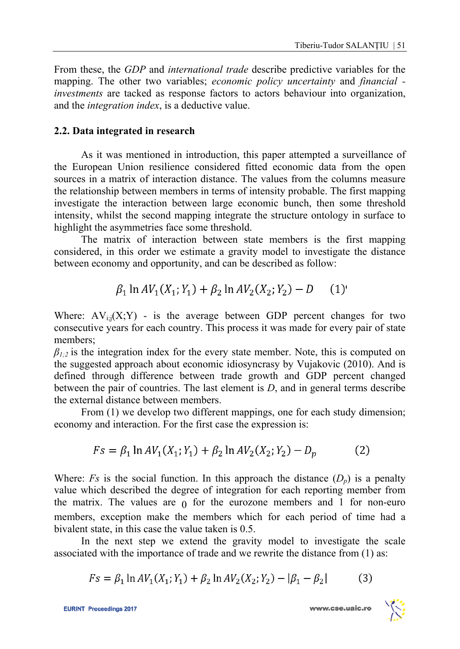From these, the *GDP* and *international trade* describe predictive variables for the mapping. The other two variables; *economic policy uncertainty* and *financial investments* are tacked as response factors to actors behaviour into organization, and the *integration index*, is a deductive value.

### **2.2. Data integrated in research**

As it was mentioned in introduction, this paper attempted a surveillance of the European Union resilience considered fitted economic data from the open sources in a matrix of interaction distance. The values from the columns measure the relationship between members in terms of intensity probable. The first mapping investigate the interaction between large economic bunch, then some threshold intensity, whilst the second mapping integrate the structure ontology in surface to highlight the asymmetries face some threshold.

 The matrix of interaction between state members is the first mapping considered, in this order we estimate a gravity model to investigate the distance between economy and opportunity, and can be described as follow:

> $\beta_1 \ln AV_1(X_1; Y_1) + \beta_2 \ln AV_2(X_2; Y_2) - D$  $(1)$

Where:  $AV_{i:j}(X;Y)$  - is the average between GDP percent changes for two consecutive years for each country. This process it was made for every pair of state members;

 $\beta_{1/2}$  is the integration index for the every state member. Note, this is computed on the suggested approach about economic idiosyncrasy by Vujakovic (2010). And is defined through difference between trade growth and GDP percent changed between the pair of countries. The last element is *D*, and in general terms describe the external distance between members.

From (1) we develop two different mappings, one for each study dimension; economy and interaction. For the first case the expression is:

$$
Fs = \beta_1 \ln AV_1(X_1; Y_1) + \beta_2 \ln AV_2(X_2; Y_2) - D_p \tag{2}
$$

Where: *Fs* is the social function. In this approach the distance  $(D_n)$  is a penalty value which described the degree of integration for each reporting member from the matrix. The values are  $\alpha$  for the eurozone members and 1 for non-euro members, exception make the members which for each period of time had a bivalent state, in this case the value taken is 0.5.

 In the next step we extend the gravity model to investigate the scale associated with the importance of trade and we rewrite the distance from (1) as:

$$
Fs = \beta_1 \ln AV_1(X_1; Y_1) + \beta_2 \ln AV_2(X_2; Y_2) - |\beta_1 - \beta_2|
$$
 (3)

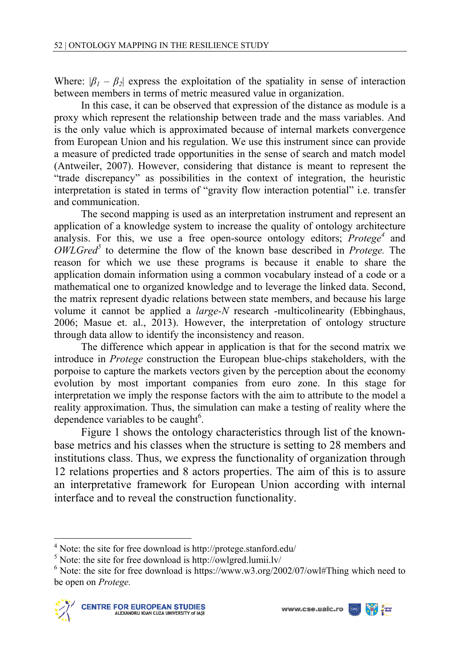Where:  $|\beta_1 - \beta_2|$  express the exploitation of the spatiality in sense of interaction between members in terms of metric measured value in organization.

 In this case, it can be observed that expression of the distance as module is a proxy which represent the relationship between trade and the mass variables. And is the only value which is approximated because of internal markets convergence from European Union and his regulation. We use this instrument since can provide a measure of predicted trade opportunities in the sense of search and match model (Antweiler, 2007). However, considering that distance is meant to represent the "trade discrepancy" as possibilities in the context of integration, the heuristic interpretation is stated in terms of "gravity flow interaction potential" i.e. transfer and communication.

 The second mapping is used as an interpretation instrument and represent an application of a knowledge system to increase the quality of ontology architecture analysis. For this, we use a free open-source ontology editors; *Protege<sup>4</sup>* and *OWLGred<sup>5</sup>* to determine the flow of the known base described in *Protege.* The reason for which we use these programs is because it enable to share the application domain information using a common vocabulary instead of a code or a mathematical one to organized knowledge and to leverage the linked data. Second, the matrix represent dyadic relations between state members, and because his large volume it cannot be applied a *large-N* research -multicolinearity (Ebbinghaus, 2006; Masue et. al., 2013). However, the interpretation of ontology structure through data allow to identify the inconsistency and reason.

 The difference which appear in application is that for the second matrix we introduce in *Protege* construction the European blue-chips stakeholders, with the porpoise to capture the markets vectors given by the perception about the economy evolution by most important companies from euro zone. In this stage for interpretation we imply the response factors with the aim to attribute to the model a reality approximation. Thus, the simulation can make a testing of reality where the dependence variables to be caught $6$ .

Figure 1 shows the ontology characteristics through list of the knownbase metrics and his classes when the structure is setting to 28 members and institutions class. Thus, we express the functionality of organization through 12 relations properties and 8 actors properties. The aim of this is to assure an interpretative framework for European Union according with internal interface and to reveal the construction functionality.



 4 Note: the site for free download is http://protege.stanford.edu/

<sup>&</sup>lt;sup>5</sup> Note: the site for free download is http://owlgred.lumii.lv/

 $6$  Note: the site for free download is https://www.w3.org/2002/07/owl#Thing which need to be open on *Protege.*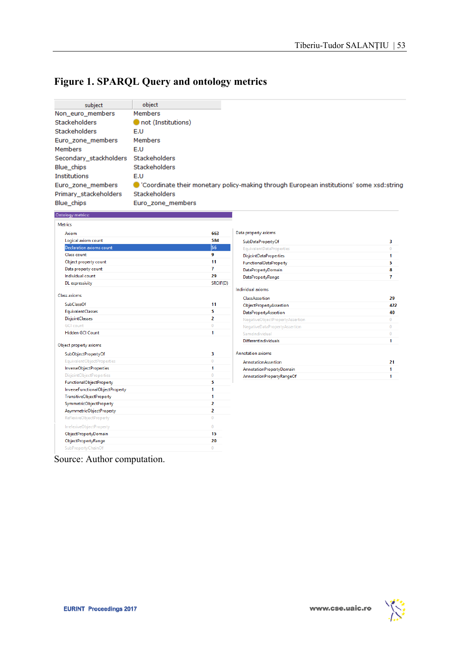# **Figure 1. SPARQL Query and ontology metrics**

| subject                | object               |                                                                                        |
|------------------------|----------------------|----------------------------------------------------------------------------------------|
| Non euro members       | <b>Members</b>       |                                                                                        |
| <b>Stackeholders</b>   | not (Institutions)   |                                                                                        |
| Stackeholders          | E.U                  |                                                                                        |
| Euro zone members      | <b>Members</b>       |                                                                                        |
| <b>Members</b>         | E.U                  |                                                                                        |
| Secondary stackholders | <b>Stackeholders</b> |                                                                                        |
| Blue chips             | <b>Stackeholders</b> |                                                                                        |
| <b>Institutions</b>    | E.U                  |                                                                                        |
| Euro zone members      |                      | Coordinate their monetary policy-making through European institutions' some xsd:string |
| Primary stackeholders  | <b>Stackeholders</b> |                                                                                        |
| <b>Blue</b> chips      | Euro zone members    |                                                                                        |
| Ontology metrics:      |                      |                                                                                        |

| Axiom                           | 663            | Data propert     |
|---------------------------------|----------------|------------------|
| Logical axiom count             | 584            | <b>SubData</b>   |
| <b>Declaration axioms count</b> | 56             | Equivale         |
| Class count                     | 9              | <b>Disjoint</b>  |
| Object property count           | 11             | <b>Function</b>  |
| Data property count             | 7              | DataPro          |
| Individual count                | 29             | DataPro          |
| DL expressivity                 | SROIF(D)       |                  |
|                                 |                | Individual ax    |
| <b>Class axioms</b>             |                | ClassAss         |
| <b>SubClassOf</b>               | 11             | <b>ObjectPr</b>  |
| <b>EquivalentClasses</b>        | 5              | DataPro          |
| <b>DisjointClasses</b>          | 2              | Negative         |
| <b>GCI</b> count                | $\mathbf{0}$   | Negative         |
| <b>Hidden GCI Count</b>         | 1              | Samelnd          |
| Object property axioms          |                | <b>Different</b> |
| SubObjectPropertyOf             | 3              | Annotation:      |
| EquivalentObjectProperties      | $\Omega$       | Annotati         |
| <b>InverseObjectProperties</b>  | 1              | Annotati         |
| <b>DisjointObjectProperties</b> | $\Omega$       | Annotati         |
| FunctionalObjectProperty        | 5              |                  |
| InverseFunctionalObjectProperty | 1              |                  |
| <b>TransitiveObjectProperty</b> | 1              |                  |
| <b>SymmetricObjectProperty</b>  | 2              |                  |
| AsymmetricObjectProperty        | $\overline{a}$ |                  |
| ReflexiveObjectProperty         | $\theta$       |                  |
| IrrefexiveObjectProperty        | $\overline{0}$ |                  |
| <b>ObjectPropertyDomain</b>     | 15             |                  |
| ObjectPropertyRange             | 20             |                  |
| SubPropertyChainOf              | $\Omega$       |                  |

| <b>SubDataPropertyOf</b><br>з<br><b>EquivalentDataProperties</b><br>0<br><b>DisjointDataProperties</b><br>1<br><b>FunctionalDataProperty</b><br>5<br><b>DataPropertyDomain</b><br>R<br>7<br>DataPropertyRange<br>ndividual axioms<br>ClassAssertion<br>29<br><b>ObjectPropertyAssertion</b><br><b>DataPropertyAssertion</b><br>40<br>NegativeObjectPropertyAssertion<br>$\Omega$<br>NegativeDataPropertyAssertion<br>$\Omega$<br>SameIndividual<br>O<br><b>DifferentIndividuals</b><br>1<br><b>Annotation axioms</b><br>AnnotationAssertion<br>21<br><b>AnnotationPropertyDomain</b><br>1<br>AnnotationPropertyRangeOf<br>1 | Data property axioms |     |
|-----------------------------------------------------------------------------------------------------------------------------------------------------------------------------------------------------------------------------------------------------------------------------------------------------------------------------------------------------------------------------------------------------------------------------------------------------------------------------------------------------------------------------------------------------------------------------------------------------------------------------|----------------------|-----|
|                                                                                                                                                                                                                                                                                                                                                                                                                                                                                                                                                                                                                             |                      |     |
|                                                                                                                                                                                                                                                                                                                                                                                                                                                                                                                                                                                                                             |                      |     |
|                                                                                                                                                                                                                                                                                                                                                                                                                                                                                                                                                                                                                             |                      |     |
|                                                                                                                                                                                                                                                                                                                                                                                                                                                                                                                                                                                                                             |                      |     |
|                                                                                                                                                                                                                                                                                                                                                                                                                                                                                                                                                                                                                             |                      |     |
|                                                                                                                                                                                                                                                                                                                                                                                                                                                                                                                                                                                                                             |                      |     |
|                                                                                                                                                                                                                                                                                                                                                                                                                                                                                                                                                                                                                             |                      |     |
|                                                                                                                                                                                                                                                                                                                                                                                                                                                                                                                                                                                                                             |                      |     |
|                                                                                                                                                                                                                                                                                                                                                                                                                                                                                                                                                                                                                             |                      | 422 |
|                                                                                                                                                                                                                                                                                                                                                                                                                                                                                                                                                                                                                             |                      |     |
|                                                                                                                                                                                                                                                                                                                                                                                                                                                                                                                                                                                                                             |                      |     |
|                                                                                                                                                                                                                                                                                                                                                                                                                                                                                                                                                                                                                             |                      |     |
|                                                                                                                                                                                                                                                                                                                                                                                                                                                                                                                                                                                                                             |                      |     |
|                                                                                                                                                                                                                                                                                                                                                                                                                                                                                                                                                                                                                             |                      |     |
|                                                                                                                                                                                                                                                                                                                                                                                                                                                                                                                                                                                                                             |                      |     |
|                                                                                                                                                                                                                                                                                                                                                                                                                                                                                                                                                                                                                             |                      |     |
|                                                                                                                                                                                                                                                                                                                                                                                                                                                                                                                                                                                                                             |                      |     |
|                                                                                                                                                                                                                                                                                                                                                                                                                                                                                                                                                                                                                             |                      |     |

Source: Author computation.

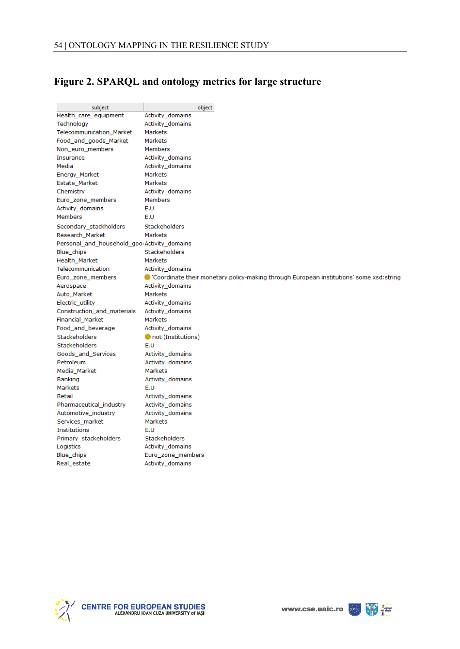# **Figure 2. SPARQL and ontology metrics for large structure**

| subject                                                  | object                                                                                            |
|----------------------------------------------------------|---------------------------------------------------------------------------------------------------|
| Health_care_equipment                                    | Activity_domains                                                                                  |
| Technology                                               | Activity_domains                                                                                  |
| Telecommunication_Market                                 | Markets                                                                                           |
| Food_and_goods_Market                                    | <b>Markets</b>                                                                                    |
| Non_euro_members                                         | <b>Members</b>                                                                                    |
| Insurance                                                | Activity domains                                                                                  |
| Media                                                    | Activity domains                                                                                  |
| Energy_Market                                            | <b>Markets</b>                                                                                    |
| Estate_Market                                            | <b>Markets</b>                                                                                    |
| Chemistry                                                | Activity_domains                                                                                  |
| Euro_zone_members                                        | Members                                                                                           |
| Activity domains                                         | E.U                                                                                               |
| <b>Members</b>                                           | E.U                                                                                               |
| Secondary stackholders                                   | <b>Stackeholders</b>                                                                              |
| Research_Market                                          | Markets                                                                                           |
| Personal_and_household_goo <sub>'</sub> Activity_domains |                                                                                                   |
| Blue chips                                               | <b>Stackeholders</b>                                                                              |
| Health_Market                                            | <b>Markets</b>                                                                                    |
| Telecommunication                                        | <b>Activity domains</b>                                                                           |
| Euro_zone_members                                        | $\bullet$ 'Coordinate their monetary policy-making through European institutions' some xsd:string |
| Aerospace                                                | Activity_domains                                                                                  |
| Auto_Market                                              | <b>Markets</b>                                                                                    |
| Electric_utility                                         | Activity_domains                                                                                  |
| Construction_and_materials                               | Activity_domains                                                                                  |
| Financial_Market                                         | <b>Markets</b>                                                                                    |
| Food_and_beverage                                        | Activity_domains                                                                                  |
| Stackeholders                                            | not (Institutions)                                                                                |
| <b>Stackeholders</b>                                     | E.U                                                                                               |
| Goods_and_Services                                       | Activity_domains                                                                                  |
| Petroleum                                                | Activity_domains                                                                                  |
| Media_Market                                             | <b>Markets</b>                                                                                    |
| Banking                                                  | Activity_domains                                                                                  |
| Markets                                                  | E.U                                                                                               |
| Retail                                                   | Activity_domains                                                                                  |
| Pharmaceutical industry                                  | Activity_domains                                                                                  |
| Automotive_industry                                      | Activity domains                                                                                  |
| Services_market                                          | Markets                                                                                           |
| <b>Institutions</b>                                      | E.U                                                                                               |
| Primary_stackeholders                                    | Stackeholders                                                                                     |
| Logistics                                                | Activity_domains                                                                                  |
| Blue_chips                                               | Euro_zone_members                                                                                 |
| Real_estate                                              | Activity_domains                                                                                  |



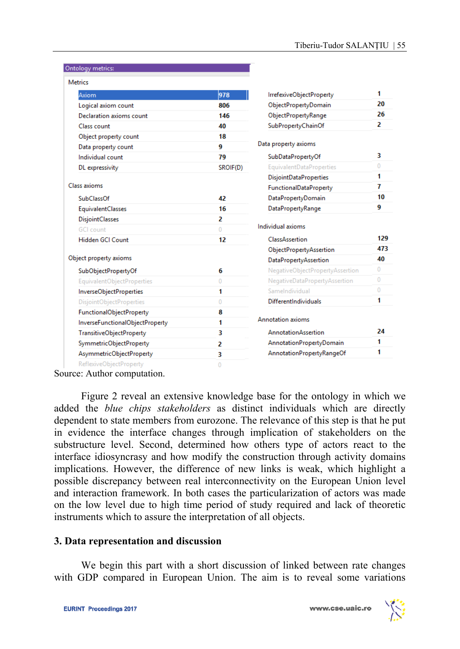| <b>Metrics</b>                  |                |                                 |              |
|---------------------------------|----------------|---------------------------------|--------------|
| Axiom                           | 978            | IrrefexiveObjectProperty        | 1            |
| Logical axiom count             | 806            | ObjectPropertyDomain            | 20           |
| Declaration axioms count        | 146            | <b>ObjectPropertyRange</b>      | 26           |
| Class count                     | 40             | SubPropertyChainOf              | 2            |
| Object property count           | 18             |                                 |              |
| Data property count             | 9              | Data property axioms            |              |
| Individual count                | 79             | SubDataPropertyOf               | 3            |
| DL expressivity                 | SROIF(D)       | EquivalentDataProperties        | $\Omega$     |
|                                 |                | <b>DisjointDataProperties</b>   | 1            |
| <b>Class axioms</b>             |                | <b>FunctionalDataProperty</b>   | 7            |
| <b>SubClassOf</b>               | 42             | <b>DataPropertyDomain</b>       | 10           |
| <b>EquivalentClasses</b>        | 16             | <b>DataPropertyRange</b>        | 9            |
| <b>DisjointClasses</b>          | 2              |                                 |              |
| <b>GCI</b> count                | $\Omega$       | Individual axioms               |              |
| Hidden GCI Count                | 12             | ClassAssertion                  | 129          |
|                                 |                | ObjectPropertyAssertion         | 473          |
| Object property axioms          |                | <b>DataPropertyAssertion</b>    | 40           |
| SubObjectPropertyOf             | 6              | NegativeObjectPropertyAssertion | $\mathbf{0}$ |
| EquivalentObjectProperties      | $\overline{0}$ | NegativeDataPropertyAssertion   | $\mathbf{0}$ |
| InverseObjectProperties         | 1              | SameIndividual                  | $\mathbf{0}$ |
| DisjointObjectProperties        | $\mathbf{0}$   | <b>DifferentIndividuals</b>     | 1            |
| <b>FunctionalObjectProperty</b> | 8              |                                 |              |
| InverseFunctionalObjectProperty | 1              | Annotation axioms               |              |
| <b>TransitiveObjectProperty</b> | 3              | <b>AnnotationAssertion</b>      | 24           |
| SymmetricObjectProperty         | 2              | AnnotationPropertyDomain        | 1            |
| AsymmetricObjectProperty        | 3              | AnnotationPropertyRangeOf       | 1            |
| ReflexiveObjectProperty         | 0              |                                 |              |

Source: Author computation.

Ontology metrics:

Figure 2 reveal an extensive knowledge base for the ontology in which we added the *blue chips stakeholders* as distinct individuals which are directly dependent to state members from eurozone. The relevance of this step is that he put in evidence the interface changes through implication of stakeholders on the substructure level. Second, determined how others type of actors react to the interface idiosyncrasy and how modify the construction through activity domains implications. However, the difference of new links is weak, which highlight a possible discrepancy between real interconnectivity on the European Union level and interaction framework. In both cases the particularization of actors was made on the low level due to high time period of study required and lack of theoretic instruments which to assure the interpretation of all objects.

#### **3. Data representation and discussion**

We begin this part with a short discussion of linked between rate changes with GDP compared in European Union. The aim is to reveal some variations

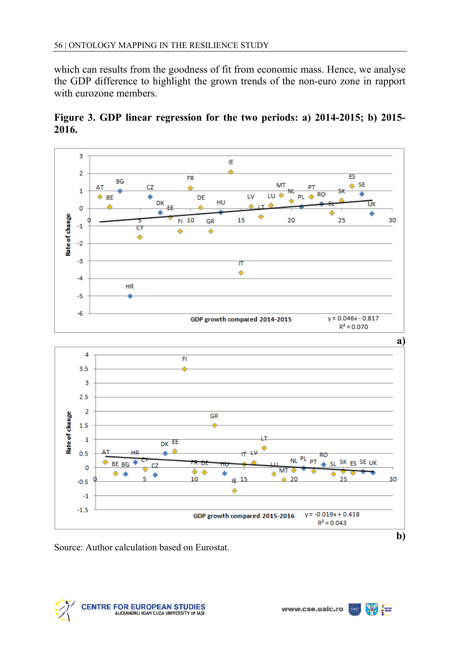which can results from the goodness of fit from economic mass. Hence, we analyse the GDP difference to highlight the grown trends of the non-euro zone in rapport with eurozone members.





Source: Author calculation based on Eurostat.



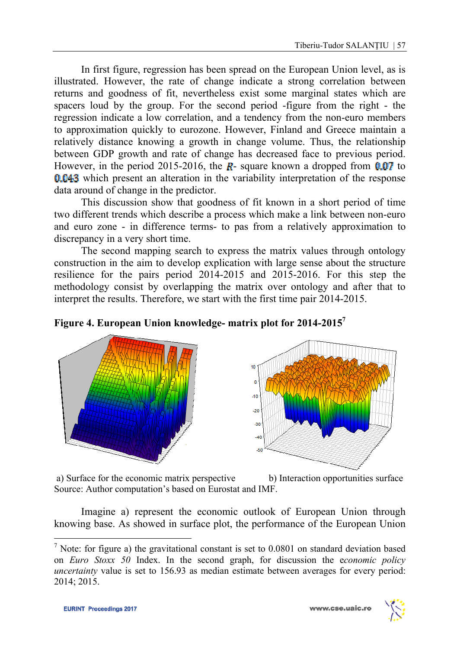In first figure, regression has been spread on the European Union level, as is illustrated. However, the rate of change indicate a strong correlation between returns and goodness of fit, nevertheless exist some marginal states which are spacers loud by the group. For the second period -figure from the right - the regression indicate a low correlation, and a tendency from the non-euro members to approximation quickly to eurozone. However, Finland and Greece maintain a relatively distance knowing a growth in change volume. Thus, the relationship between GDP growth and rate of change has decreased face to previous period. However, in the period 2015-2016, the  $\mathbb{R}$ - square known a dropped from 0.07 to 0.043 which present an alteration in the variability interpretation of the response data around of change in the predictor.

 This discussion show that goodness of fit known in a short period of time two different trends which describe a process which make a link between non-euro and euro zone - in difference terms- to pas from a relatively approximation to discrepancy in a very short time.

 The second mapping search to express the matrix values through ontology construction in the aim to develop explication with large sense about the structure resilience for the pairs period 2014-2015 and 2015-2016. For this step the methodology consist by overlapping the matrix over ontology and after that to interpret the results. Therefore, we start with the first time pair 2014-2015.







a) Surface for the economic matrix perspective b) Interaction opportunities surface Source: Author computation's based on Eurostat and IMF.

 Imagine a) represent the economic outlook of European Union through knowing base. As showed in surface plot, the performance of the European Union

l



<sup>&</sup>lt;sup>7</sup> Note: for figure a) the gravitational constant is set to  $0.0801$  on standard deviation based on *Euro Stoxx 50* Index. In the second graph, for discussion the e*conomic policy uncertainty* value is set to 156.93 as median estimate between averages for every period: 2014; 2015.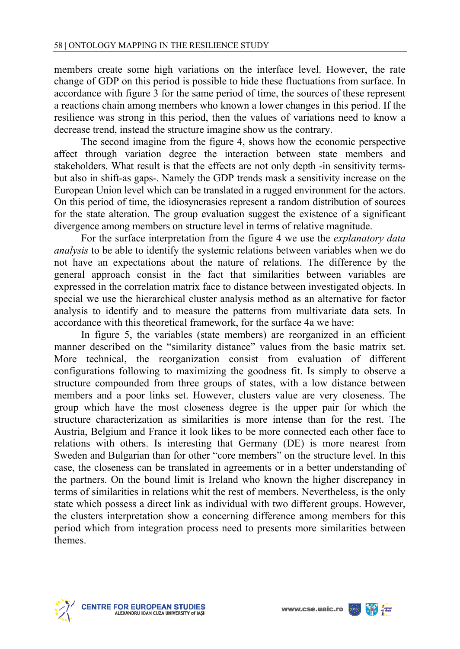members create some high variations on the interface level. However, the rate change of GDP on this period is possible to hide these fluctuations from surface. In accordance with figure 3 for the same period of time, the sources of these represent a reactions chain among members who known a lower changes in this period. If the resilience was strong in this period, then the values of variations need to know a decrease trend, instead the structure imagine show us the contrary.

 The second imagine from the figure 4, shows how the economic perspective affect through variation degree the interaction between state members and stakeholders. What result is that the effects are not only depth -in sensitivity termsbut also in shift-as gaps-. Namely the GDP trends mask a sensitivity increase on the European Union level which can be translated in a rugged environment for the actors. On this period of time, the idiosyncrasies represent a random distribution of sources for the state alteration. The group evaluation suggest the existence of a significant divergence among members on structure level in terms of relative magnitude.

 For the surface interpretation from the figure 4 we use the *explanatory data analysis* to be able to identify the systemic relations between variables when we do not have an expectations about the nature of relations. The difference by the general approach consist in the fact that similarities between variables are expressed in the correlation matrix face to distance between investigated objects. In special we use the hierarchical cluster analysis method as an alternative for factor analysis to identify and to measure the patterns from multivariate data sets. In accordance with this theoretical framework, for the surface 4a we have:

 In figure 5, the variables (state members) are reorganized in an efficient manner described on the "similarity distance" values from the basic matrix set. More technical, the reorganization consist from evaluation of different configurations following to maximizing the goodness fit. Is simply to observe a structure compounded from three groups of states, with a low distance between members and a poor links set. However, clusters value are very closeness. The group which have the most closeness degree is the upper pair for which the structure characterization as similarities is more intense than for the rest. The Austria, Belgium and France it look likes to be more connected each other face to relations with others. Is interesting that Germany (DE) is more nearest from Sweden and Bulgarian than for other "core members" on the structure level. In this case, the closeness can be translated in agreements or in a better understanding of the partners. On the bound limit is Ireland who known the higher discrepancy in terms of similarities in relations whit the rest of members. Nevertheless, is the only state which possess a direct link as individual with two different groups. However, the clusters interpretation show a concerning difference among members for this period which from integration process need to presents more similarities between themes.



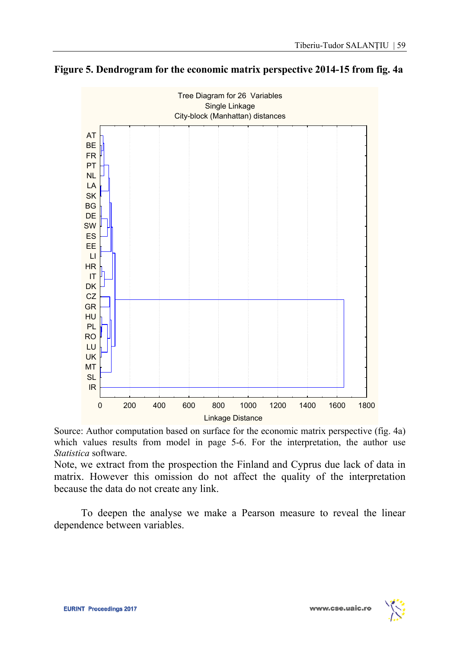



Source: Author computation based on surface for the economic matrix perspective (fig. 4a) which values results from model in page 5-6. For the interpretation, the author use *Statistica* software.

Note, we extract from the prospection the Finland and Cyprus due lack of data in matrix. However this omission do not affect the quality of the interpretation because the data do not create any link.

 To deepen the analyse we make a Pearson measure to reveal the linear dependence between variables.



www.cse.uaic.ro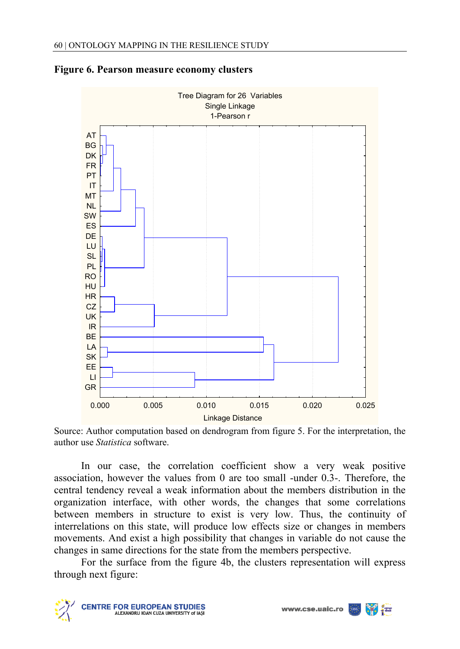



Source: Author computation based on dendrogram from figure 5. For the interpretation, the author use *Statistica* software.

 In our case, the correlation coefficient show a very weak positive association, however the values from 0 are too small -under 0.3-. Therefore, the central tendency reveal a weak information about the members distribution in the organization interface, with other words, the changes that some correlations between members in structure to exist is very low. Thus, the continuity of interrelations on this state, will produce low effects size or changes in members movements. And exist a high possibility that changes in variable do not cause the changes in same directions for the state from the members perspective.

 For the surface from the figure 4b, the clusters representation will express through next figure:



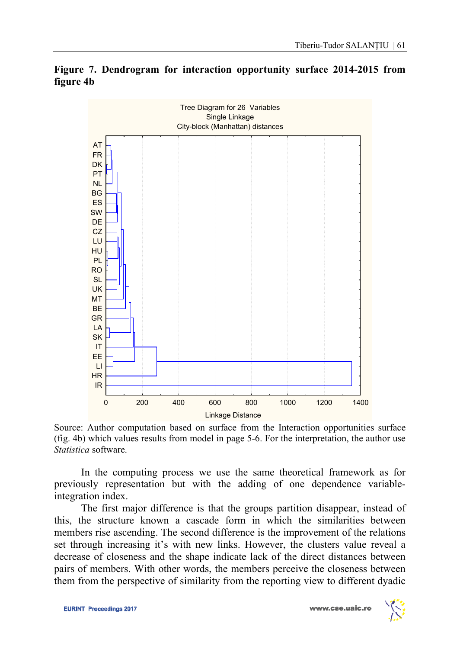

**Figure 7. Dendrogram for interaction opportunity surface 2014-2015 from figure 4b** 

Source: Author computation based on surface from the Interaction opportunities surface (fig. 4b) which values results from model in page 5-6. For the interpretation, the author use *Statistica* software.

 In the computing process we use the same theoretical framework as for previously representation but with the adding of one dependence variableintegration index.

 The first major difference is that the groups partition disappear, instead of this, the structure known a cascade form in which the similarities between members rise ascending. The second difference is the improvement of the relations set through increasing it's with new links. However, the clusters value reveal a decrease of closeness and the shape indicate lack of the direct distances between pairs of members. With other words, the members perceive the closeness between them from the perspective of similarity from the reporting view to different dyadic

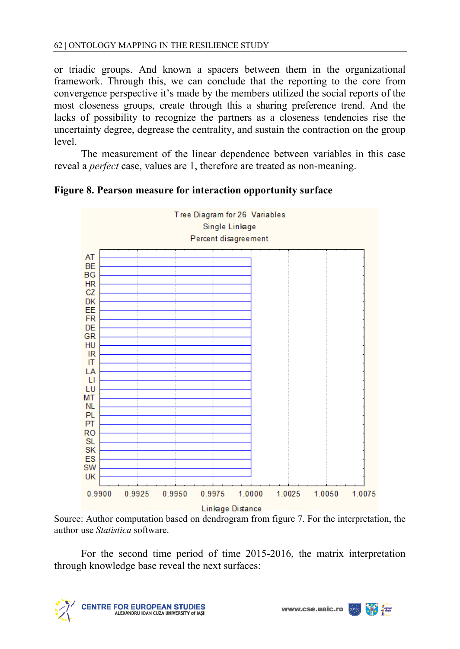or triadic groups. And known a spacers between them in the organizational framework. Through this, we can conclude that the reporting to the core from convergence perspective it's made by the members utilized the social reports of the most closeness groups, create through this a sharing preference trend. And the lacks of possibility to recognize the partners as a closeness tendencies rise the uncertainty degree, degrease the centrality, and sustain the contraction on the group level.

 The measurement of the linear dependence between variables in this case reveal a *perfect* case, values are 1, therefore are treated as non-meaning.



**Figure 8. Pearson measure for interaction opportunity surface** 

Source: Author computation based on dendrogram from figure 7. For the interpretation, the author use *Statistica* software.

 For the second time period of time 2015-2016, the matrix interpretation through knowledge base reveal the next surfaces:



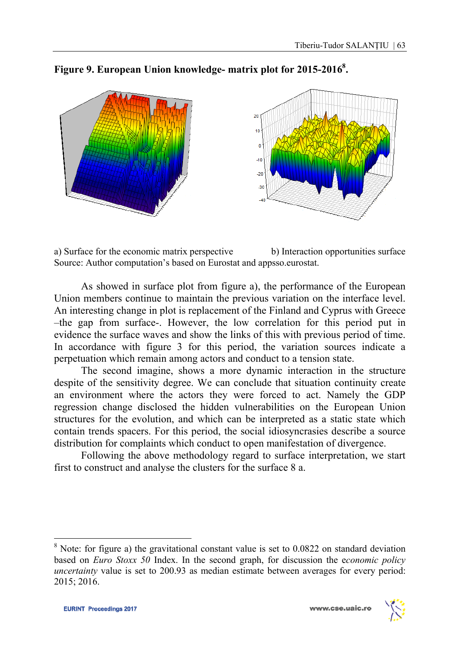

Figure 9. European Union knowledge- matrix plot for 2015-2016<sup>8</sup>.

a) Surface for the economic matrix perspective b) Interaction opportunities surface Source: Author computation's based on Eurostat and appsso.eurostat.

As showed in surface plot from figure a), the performance of the European Union members continue to maintain the previous variation on the interface level. An interesting change in plot is replacement of the Finland and Cyprus with Greece –the gap from surface-. However, the low correlation for this period put in evidence the surface waves and show the links of this with previous period of time. In accordance with figure 3 for this period, the variation sources indicate a perpetuation which remain among actors and conduct to a tension state.

 The second imagine, shows a more dynamic interaction in the structure despite of the sensitivity degree. We can conclude that situation continuity create an environment where the actors they were forced to act. Namely the GDP regression change disclosed the hidden vulnerabilities on the European Union structures for the evolution, and which can be interpreted as a static state which contain trends spacers. For this period, the social idiosyncrasies describe a source distribution for complaints which conduct to open manifestation of divergence.

 Following the above methodology regard to surface interpretation, we start first to construct and analyse the clusters for the surface 8 a.

l



 $8$  Note: for figure a) the gravitational constant value is set to 0.0822 on standard deviation based on *Euro Stoxx 50* Index. In the second graph, for discussion the e*conomic policy uncertainty* value is set to 200.93 as median estimate between averages for every period: 2015; 2016.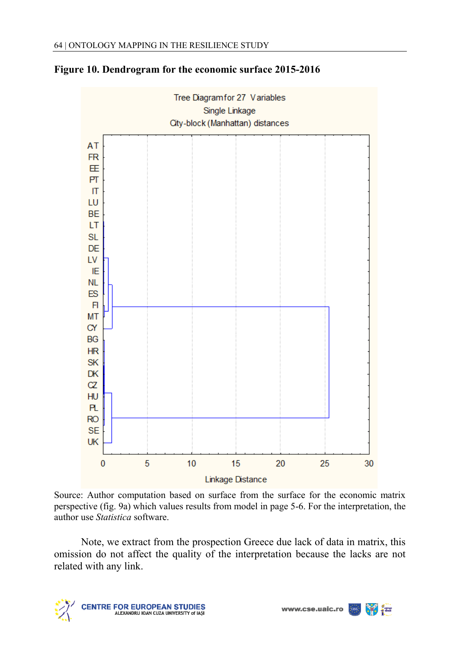

#### **Figure 10. Dendrogram for the economic surface 2015-2016**

Source: Author computation based on surface from the surface for the economic matrix perspective (fig. 9a) which values results from model in page 5-6. For the interpretation, the author use *Statistica* software.

Note, we extract from the prospection Greece due lack of data in matrix, this omission do not affect the quality of the interpretation because the lacks are not related with any link.



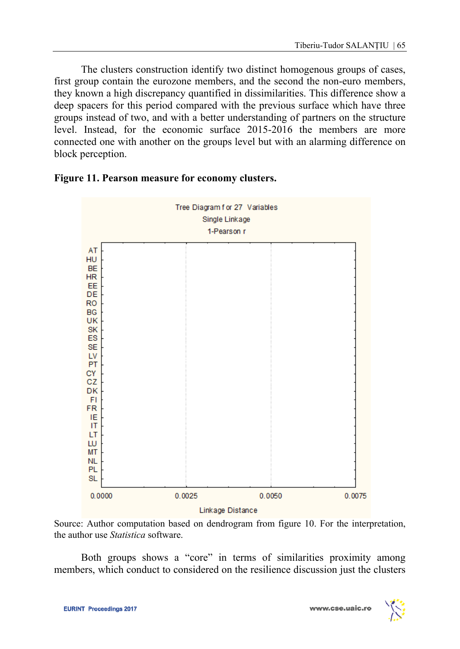The clusters construction identify two distinct homogenous groups of cases, first group contain the eurozone members, and the second the non-euro members, they known a high discrepancy quantified in dissimilarities. This difference show a deep spacers for this period compared with the previous surface which have three groups instead of two, and with a better understanding of partners on the structure level. Instead, for the economic surface 2015-2016 the members are more connected one with another on the groups level but with an alarming difference on block perception.



#### **Figure 11. Pearson measure for economy clusters.**

Source: Author computation based on dendrogram from figure 10. For the interpretation, the author use *Statistica* software.

Both groups shows a "core" in terms of similarities proximity among members, which conduct to considered on the resilience discussion just the clusters

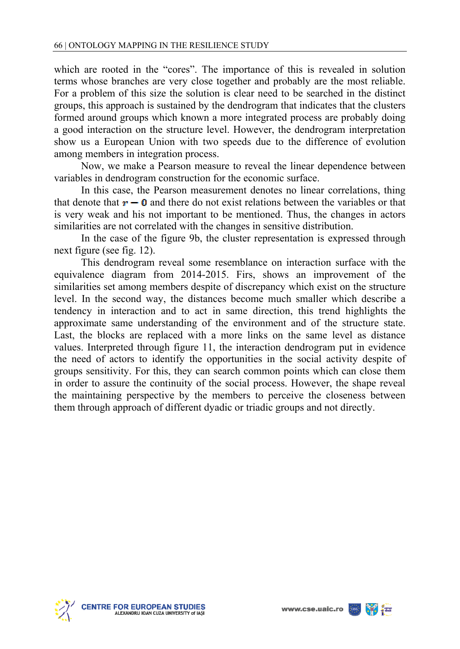which are rooted in the "cores". The importance of this is revealed in solution terms whose branches are very close together and probably are the most reliable. For a problem of this size the solution is clear need to be searched in the distinct groups, this approach is sustained by the dendrogram that indicates that the clusters formed around groups which known a more integrated process are probably doing a good interaction on the structure level. However, the dendrogram interpretation show us a European Union with two speeds due to the difference of evolution among members in integration process.

Now, we make a Pearson measure to reveal the linear dependence between variables in dendrogram construction for the economic surface.

In this case, the Pearson measurement denotes no linear correlations, thing that denote that  $r - 0$  and there do not exist relations between the variables or that is very weak and his not important to be mentioned. Thus, the changes in actors similarities are not correlated with the changes in sensitive distribution.

 In the case of the figure 9b, the cluster representation is expressed through next figure (see fig. 12).

 This dendrogram reveal some resemblance on interaction surface with the equivalence diagram from 2014-2015. Firs, shows an improvement of the similarities set among members despite of discrepancy which exist on the structure level. In the second way, the distances become much smaller which describe a tendency in interaction and to act in same direction, this trend highlights the approximate same understanding of the environment and of the structure state. Last, the blocks are replaced with a more links on the same level as distance values. Interpreted through figure 11, the interaction dendrogram put in evidence the need of actors to identify the opportunities in the social activity despite of groups sensitivity. For this, they can search common points which can close them in order to assure the continuity of the social process. However, the shape reveal the maintaining perspective by the members to perceive the closeness between them through approach of different dyadic or triadic groups and not directly.



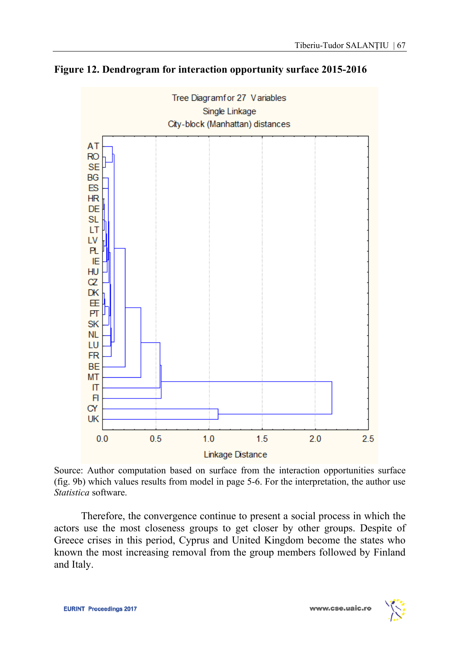

**Figure 12. Dendrogram for interaction opportunity surface 2015-2016** 

Source: Author computation based on surface from the interaction opportunities surface (fig. 9b) which values results from model in page 5-6. For the interpretation, the author use *Statistica* software.

Therefore, the convergence continue to present a social process in which the actors use the most closeness groups to get closer by other groups. Despite of Greece crises in this period, Cyprus and United Kingdom become the states who known the most increasing removal from the group members followed by Finland and Italy.

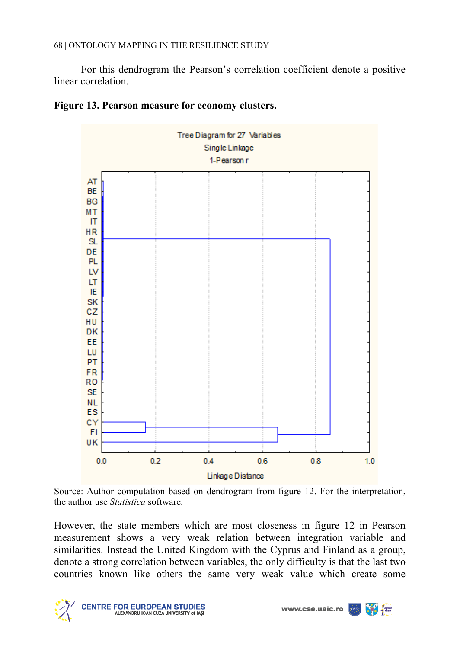For this dendrogram the Pearson's correlation coefficient denote a positive linear correlation.





Source: Author computation based on dendrogram from figure 12. For the interpretation, the author use *Statistica* software.

However, the state members which are most closeness in figure 12 in Pearson measurement shows a very weak relation between integration variable and similarities. Instead the United Kingdom with the Cyprus and Finland as a group, denote a strong correlation between variables, the only difficulty is that the last two countries known like others the same very weak value which create some



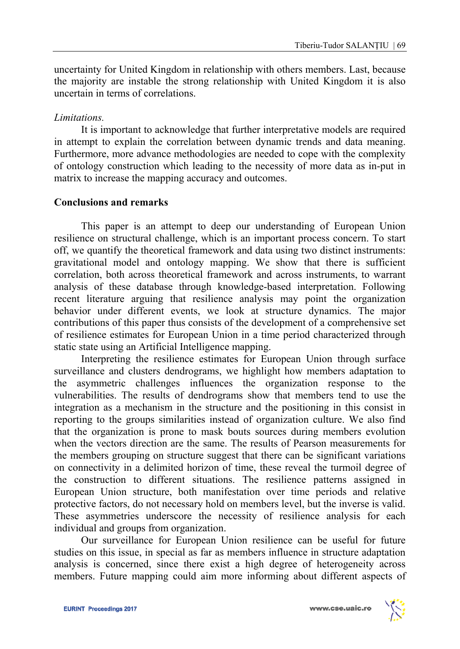uncertainty for United Kingdom in relationship with others members. Last, because the majority are instable the strong relationship with United Kingdom it is also uncertain in terms of correlations.

### *Limitations.*

 It is important to acknowledge that further interpretative models are required in attempt to explain the correlation between dynamic trends and data meaning. Furthermore, more advance methodologies are needed to cope with the complexity of ontology construction which leading to the necessity of more data as in-put in matrix to increase the mapping accuracy and outcomes.

### **Conclusions and remarks**

This paper is an attempt to deep our understanding of European Union resilience on structural challenge, which is an important process concern. To start off, we quantify the theoretical framework and data using two distinct instruments: gravitational model and ontology mapping. We show that there is sufficient correlation, both across theoretical framework and across instruments, to warrant analysis of these database through knowledge-based interpretation. Following recent literature arguing that resilience analysis may point the organization behavior under different events, we look at structure dynamics. The major contributions of this paper thus consists of the development of a comprehensive set of resilience estimates for European Union in a time period characterized through static state using an Artificial Intelligence mapping.

 Interpreting the resilience estimates for European Union through surface surveillance and clusters dendrograms, we highlight how members adaptation to the asymmetric challenges influences the organization response to the vulnerabilities. The results of dendrograms show that members tend to use the integration as a mechanism in the structure and the positioning in this consist in reporting to the groups similarities instead of organization culture. We also find that the organization is prone to mask bouts sources during members evolution when the vectors direction are the same. The results of Pearson measurements for the members grouping on structure suggest that there can be significant variations on connectivity in a delimited horizon of time, these reveal the turmoil degree of the construction to different situations. The resilience patterns assigned in European Union structure, both manifestation over time periods and relative protective factors, do not necessary hold on members level, but the inverse is valid. These asymmetries underscore the necessity of resilience analysis for each individual and groups from organization.

 Our surveillance for European Union resilience can be useful for future studies on this issue, in special as far as members influence in structure adaptation analysis is concerned, since there exist a high degree of heterogeneity across members. Future mapping could aim more informing about different aspects of

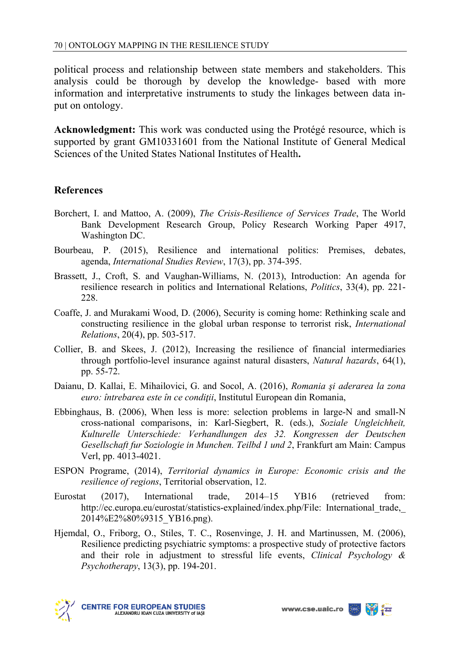political process and relationship between state members and stakeholders. This analysis could be thorough by develop the knowledge- based with more information and interpretative instruments to study the linkages between data input on ontology.

**Acknowledgment:** This work was conducted using the Protégé resource, which is supported by grant GM10331601 from the National Institute of General Medical Sciences of the United States National Institutes of Health**.** 

# **References**

- Borchert, I. and Mattoo, A. (2009), *The Crisis-Resilience of Services Trade*, The World Bank Development Research Group, Policy Research Working Paper 4917, Washington DC.
- Bourbeau, P. (2015), Resilience and international politics: Premises, debates, agenda, *International Studies Review*, 17(3), pp. 374-395.
- Brassett, J., Croft, S. and Vaughan-Williams, N. (2013), Introduction: An agenda for resilience research in politics and International Relations, *Politics*, 33(4), pp. 221- 228.
- Coaffe, J. and Murakami Wood, D. (2006), Security is coming home: Rethinking scale and constructing resilience in the global urban response to terrorist risk, *International Relations*, 20(4), pp. 503-517.
- Collier, B. and Skees, J. (2012), Increasing the resilience of financial intermediaries through portfolio-level insurance against natural disasters, *Natural hazards*, 64(1), pp. 55-72.
- Daianu, D. Kallai, E. Mihailovici, G. and Socol, A. (2016), *Romania şi aderarea la zona euro: întrebarea este în ce condiţii*, Institutul European din Romania,
- Ebbinghaus, B. (2006), When less is more: selection problems in large-N and small-N cross-national comparisons, in: Karl-Siegbert, R. (eds.), *Soziale Ungleichheit, Kulturelle Unterschiede: Verhandlungen des 32. Kongressen der Deutschen Gesellschaft fur Soziologie in Munchen. Teilbd 1 und 2*, Frankfurt am Main: Campus Verl, pp. 4013-4021.
- ESPON Programe, (2014), *Territorial dynamics in Europe: Economic crisis and the resilience of regions*, Territorial observation, 12.
- Eurostat (2017), International trade, 2014–15 YB16 (retrieved from: http://ec.europa.eu/eurostat/statistics-explained/index.php/File: International\_trade,\_ 2014%E2%80%9315\_YB16.png).
- Hjemdal, O., Friborg, O., Stiles, T. C., Rosenvinge, J. H. and Martinussen, M. (2006), Resilience predicting psychiatric symptoms: a prospective study of protective factors and their role in adjustment to stressful life events, *Clinical Psychology & Psychotherapy*, 13(3), pp. 194-201.